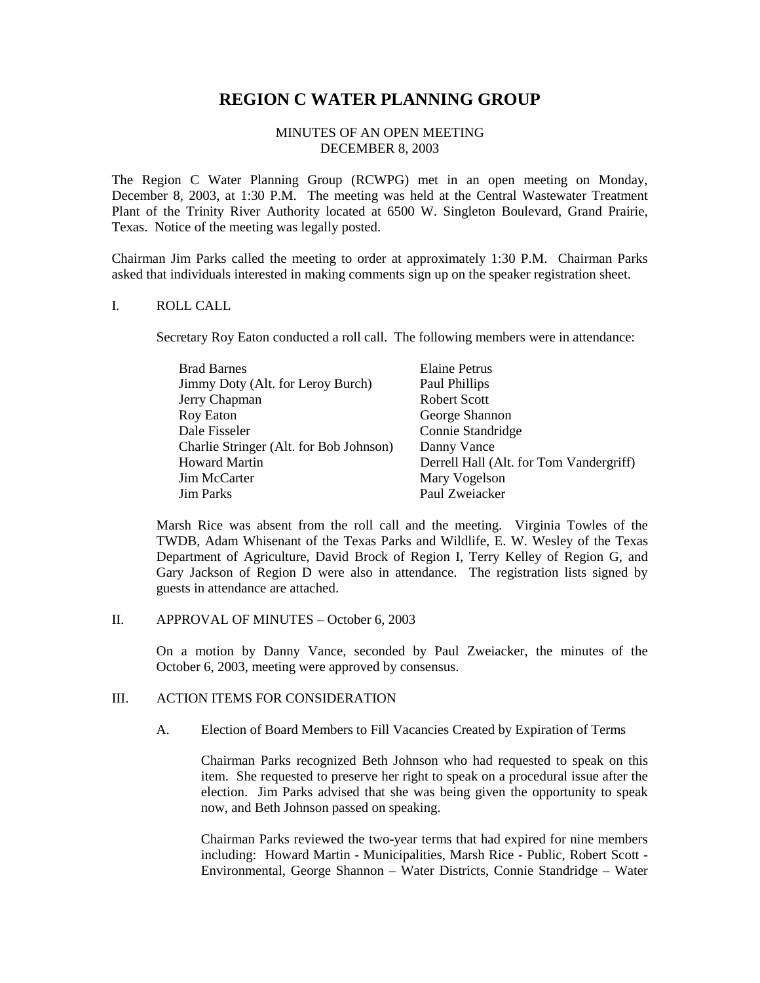# **REGION C WATER PLANNING GROUP**

### MINUTES OF AN OPEN MEETING DECEMBER 8, 2003

The Region C Water Planning Group (RCWPG) met in an open meeting on Monday, December 8, 2003, at 1:30 P.M. The meeting was held at the Central Wastewater Treatment Plant of the Trinity River Authority located at 6500 W. Singleton Boulevard, Grand Prairie, Texas. Notice of the meeting was legally posted.

Chairman Jim Parks called the meeting to order at approximately 1:30 P.M. Chairman Parks asked that individuals interested in making comments sign up on the speaker registration sheet.

#### I. ROLL CALL

Secretary Roy Eaton conducted a roll call. The following members were in attendance:

| <b>Elaine Petrus</b>                    |
|-----------------------------------------|
| Paul Phillips                           |
| <b>Robert Scott</b>                     |
| George Shannon                          |
| Connie Standridge                       |
| Danny Vance                             |
| Derrell Hall (Alt. for Tom Vandergriff) |
| Mary Vogelson                           |
| Paul Zweiacker                          |
|                                         |

Marsh Rice was absent from the roll call and the meeting. Virginia Towles of the TWDB, Adam Whisenant of the Texas Parks and Wildlife, E. W. Wesley of the Texas Department of Agriculture, David Brock of Region I, Terry Kelley of Region G, and Gary Jackson of Region D were also in attendance. The registration lists signed by guests in attendance are attached.

II. APPROVAL OF MINUTES – October 6, 2003

On a motion by Danny Vance, seconded by Paul Zweiacker, the minutes of the October 6, 2003, meeting were approved by consensus.

## III. ACTION ITEMS FOR CONSIDERATION

A. Election of Board Members to Fill Vacancies Created by Expiration of Terms

Chairman Parks recognized Beth Johnson who had requested to speak on this item. She requested to preserve her right to speak on a procedural issue after the election. Jim Parks advised that she was being given the opportunity to speak now, and Beth Johnson passed on speaking.

Chairman Parks reviewed the two-year terms that had expired for nine members including: Howard Martin - Municipalities, Marsh Rice - Public, Robert Scott - Environmental, George Shannon – Water Districts, Connie Standridge – Water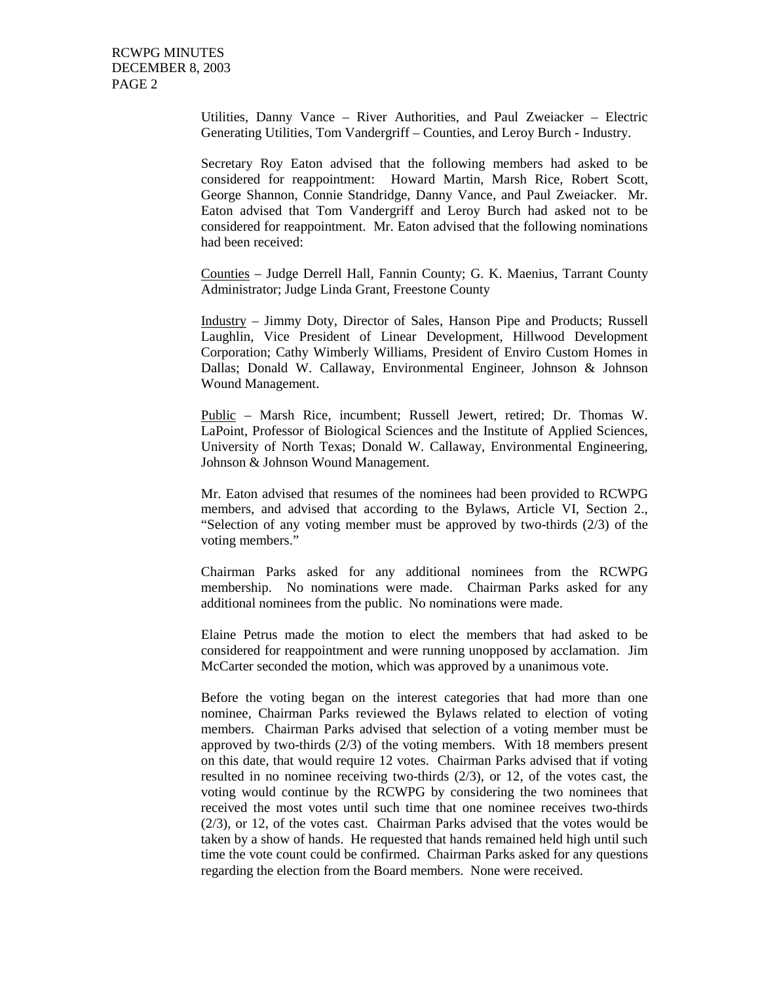Utilities, Danny Vance – River Authorities, and Paul Zweiacker – Electric Generating Utilities, Tom Vandergriff – Counties, and Leroy Burch - Industry.

Secretary Roy Eaton advised that the following members had asked to be considered for reappointment: Howard Martin, Marsh Rice, Robert Scott, George Shannon, Connie Standridge, Danny Vance, and Paul Zweiacker. Mr. Eaton advised that Tom Vandergriff and Leroy Burch had asked not to be considered for reappointment. Mr. Eaton advised that the following nominations had been received:

Counties – Judge Derrell Hall, Fannin County; G. K. Maenius, Tarrant County Administrator; Judge Linda Grant, Freestone County

Industry – Jimmy Doty, Director of Sales, Hanson Pipe and Products; Russell Laughlin, Vice President of Linear Development, Hillwood Development Corporation; Cathy Wimberly Williams, President of Enviro Custom Homes in Dallas; Donald W. Callaway, Environmental Engineer, Johnson & Johnson Wound Management.

Public – Marsh Rice, incumbent; Russell Jewert, retired; Dr. Thomas W. LaPoint, Professor of Biological Sciences and the Institute of Applied Sciences, University of North Texas; Donald W. Callaway, Environmental Engineering, Johnson & Johnson Wound Management.

Mr. Eaton advised that resumes of the nominees had been provided to RCWPG members, and advised that according to the Bylaws, Article VI, Section 2., "Selection of any voting member must be approved by two-thirds (2/3) of the voting members."

Chairman Parks asked for any additional nominees from the RCWPG membership. No nominations were made. Chairman Parks asked for any additional nominees from the public. No nominations were made.

Elaine Petrus made the motion to elect the members that had asked to be considered for reappointment and were running unopposed by acclamation. Jim McCarter seconded the motion, which was approved by a unanimous vote.

Before the voting began on the interest categories that had more than one nominee, Chairman Parks reviewed the Bylaws related to election of voting members. Chairman Parks advised that selection of a voting member must be approved by two-thirds (2/3) of the voting members. With 18 members present on this date, that would require 12 votes. Chairman Parks advised that if voting resulted in no nominee receiving two-thirds (2/3), or 12, of the votes cast, the voting would continue by the RCWPG by considering the two nominees that received the most votes until such time that one nominee receives two-thirds (2/3), or 12, of the votes cast. Chairman Parks advised that the votes would be taken by a show of hands. He requested that hands remained held high until such time the vote count could be confirmed. Chairman Parks asked for any questions regarding the election from the Board members. None were received.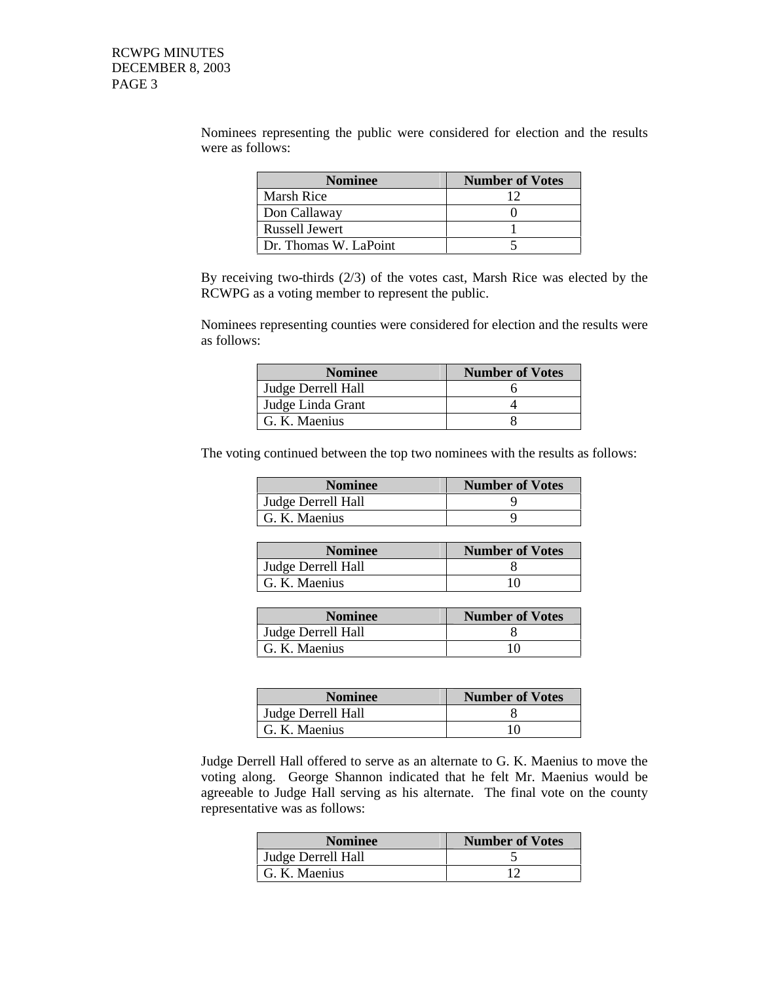Nominees representing the public were considered for election and the results were as follows:

| <b>Nominee</b>        | <b>Number of Votes</b> |
|-----------------------|------------------------|
| Marsh Rice            |                        |
| Don Callaway          |                        |
| Russell Jewert        |                        |
| Dr. Thomas W. LaPoint |                        |

By receiving two-thirds (2/3) of the votes cast, Marsh Rice was elected by the RCWPG as a voting member to represent the public.

Nominees representing counties were considered for election and the results were as follows:

| <b>Nominee</b>     | <b>Number of Votes</b> |
|--------------------|------------------------|
| Judge Derrell Hall |                        |
| Judge Linda Grant  |                        |
| G. K. Maenius      |                        |

The voting continued between the top two nominees with the results as follows:

| <b>Nominee</b>     | <b>Number of Votes</b> |
|--------------------|------------------------|
| Judge Derrell Hall |                        |
| G. K. Maenius      |                        |

| <b>Nominee</b>     | <b>Number of Votes</b> |
|--------------------|------------------------|
| Judge Derrell Hall |                        |
| G. K. Maenius      | 10                     |

| <b>Nominee</b>     | <b>Number of Votes</b> |
|--------------------|------------------------|
| Judge Derrell Hall |                        |
| G. K. Maenius      | 10                     |

| <b>Nominee</b>     | <b>Number of Votes</b> |
|--------------------|------------------------|
| Judge Derrell Hall |                        |
| G. K. Maenius      | 10                     |

Judge Derrell Hall offered to serve as an alternate to G. K. Maenius to move the voting along. George Shannon indicated that he felt Mr. Maenius would be agreeable to Judge Hall serving as his alternate. The final vote on the county representative was as follows:

| <b>Nominee</b>     | <b>Number of Votes</b> |
|--------------------|------------------------|
| Judge Derrell Hall |                        |
| G. K. Maenius      |                        |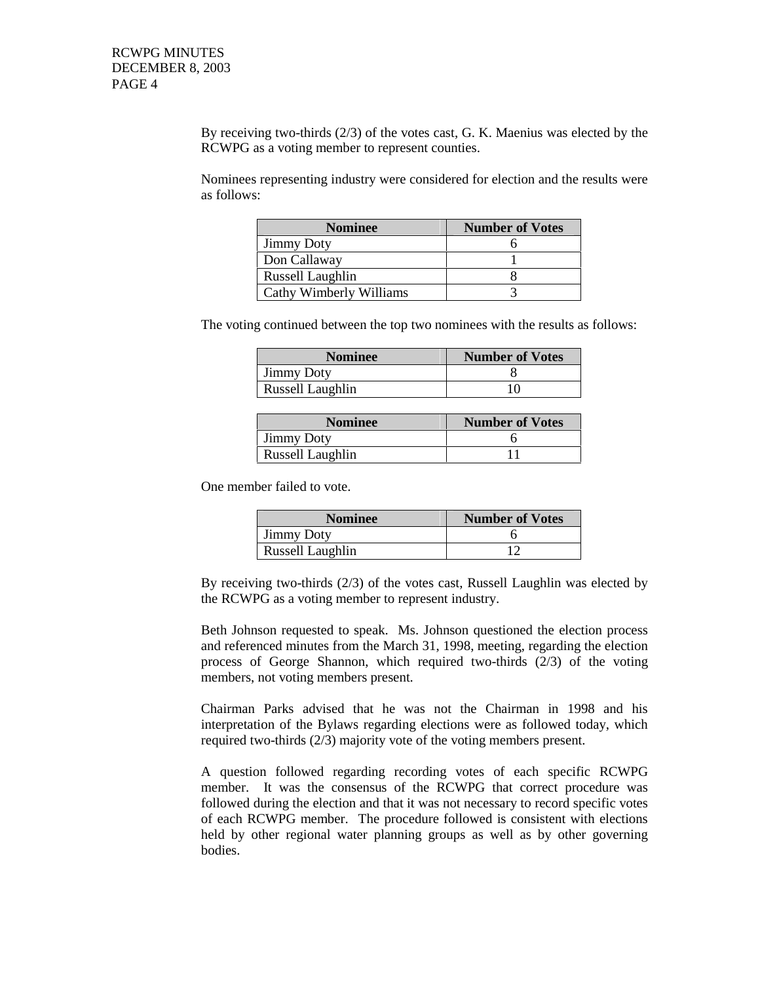By receiving two-thirds (2/3) of the votes cast, G. K. Maenius was elected by the RCWPG as a voting member to represent counties.

Nominees representing industry were considered for election and the results were as follows:

| <b>Nominee</b>          | <b>Number of Votes</b> |
|-------------------------|------------------------|
| <b>Jimmy Doty</b>       |                        |
| Don Callaway            |                        |
| Russell Laughlin        |                        |
| Cathy Wimberly Williams |                        |

The voting continued between the top two nominees with the results as follows:

| <b>Nominee</b>    | <b>Number of Votes</b> |
|-------------------|------------------------|
| <b>Jimmy Doty</b> |                        |
| Russell Laughlin  | l ( )                  |

| <b>Nominee</b>    | <b>Number of Votes</b> |
|-------------------|------------------------|
| <b>Jimmy Doty</b> |                        |
| Russell Laughlin  |                        |

One member failed to vote.

| <b>Nominee</b>    | <b>Number of Votes</b> |
|-------------------|------------------------|
| <b>Jimmy Doty</b> |                        |
| Russell Laughlin  |                        |

By receiving two-thirds (2/3) of the votes cast, Russell Laughlin was elected by the RCWPG as a voting member to represent industry.

Beth Johnson requested to speak. Ms. Johnson questioned the election process and referenced minutes from the March 31, 1998, meeting, regarding the election process of George Shannon, which required two-thirds (2/3) of the voting members, not voting members present.

Chairman Parks advised that he was not the Chairman in 1998 and his interpretation of the Bylaws regarding elections were as followed today, which required two-thirds (2/3) majority vote of the voting members present.

A question followed regarding recording votes of each specific RCWPG member. It was the consensus of the RCWPG that correct procedure was followed during the election and that it was not necessary to record specific votes of each RCWPG member. The procedure followed is consistent with elections held by other regional water planning groups as well as by other governing bodies.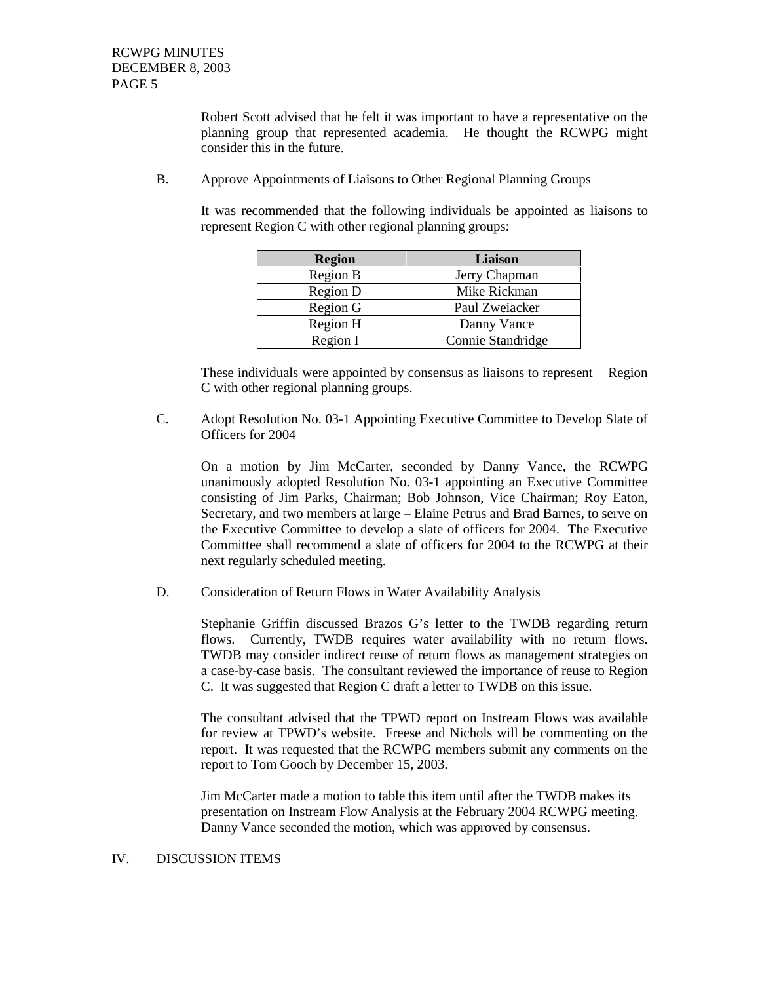Robert Scott advised that he felt it was important to have a representative on the planning group that represented academia. He thought the RCWPG might consider this in the future.

B. Approve Appointments of Liaisons to Other Regional Planning Groups

It was recommended that the following individuals be appointed as liaisons to represent Region C with other regional planning groups:

| <b>Region</b> | Liaison           |
|---------------|-------------------|
| Region B      | Jerry Chapman     |
| Region D      | Mike Rickman      |
| Region G      | Paul Zweiacker    |
| Region H      | Danny Vance       |
| Region I      | Connie Standridge |

These individuals were appointed by consensus as liaisons to represent Region C with other regional planning groups.

C. Adopt Resolution No. 03-1 Appointing Executive Committee to Develop Slate of Officers for 2004

On a motion by Jim McCarter, seconded by Danny Vance, the RCWPG unanimously adopted Resolution No. 03-1 appointing an Executive Committee consisting of Jim Parks, Chairman; Bob Johnson, Vice Chairman; Roy Eaton, Secretary, and two members at large – Elaine Petrus and Brad Barnes, to serve on the Executive Committee to develop a slate of officers for 2004. The Executive Committee shall recommend a slate of officers for 2004 to the RCWPG at their next regularly scheduled meeting.

D. Consideration of Return Flows in Water Availability Analysis

Stephanie Griffin discussed Brazos G's letter to the TWDB regarding return flows. Currently, TWDB requires water availability with no return flows. TWDB may consider indirect reuse of return flows as management strategies on a case-by-case basis. The consultant reviewed the importance of reuse to Region C. It was suggested that Region C draft a letter to TWDB on this issue.

The consultant advised that the TPWD report on Instream Flows was available for review at TPWD's website. Freese and Nichols will be commenting on the report. It was requested that the RCWPG members submit any comments on the report to Tom Gooch by December 15, 2003.

Jim McCarter made a motion to table this item until after the TWDB makes its presentation on Instream Flow Analysis at the February 2004 RCWPG meeting. Danny Vance seconded the motion, which was approved by consensus.

### IV. DISCUSSION ITEMS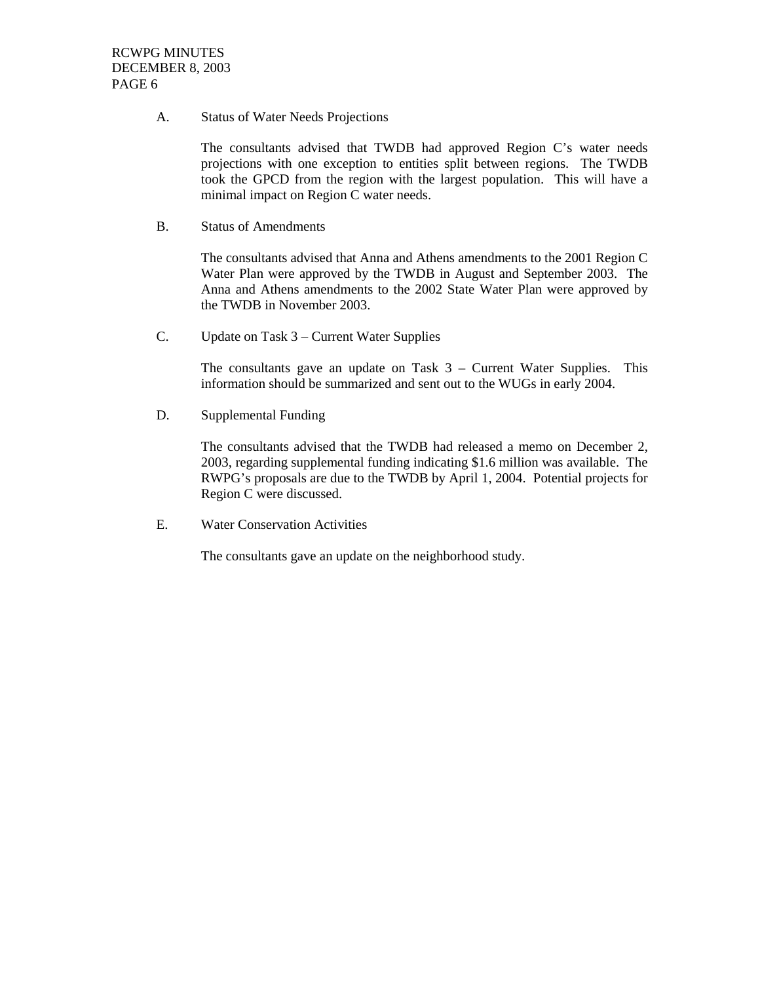A. Status of Water Needs Projections

The consultants advised that TWDB had approved Region C's water needs projections with one exception to entities split between regions. The TWDB took the GPCD from the region with the largest population. This will have a minimal impact on Region C water needs.

B. Status of Amendments

The consultants advised that Anna and Athens amendments to the 2001 Region C Water Plan were approved by the TWDB in August and September 2003. The Anna and Athens amendments to the 2002 State Water Plan were approved by the TWDB in November 2003.

C. Update on Task 3 – Current Water Supplies

The consultants gave an update on Task  $3$  – Current Water Supplies. This information should be summarized and sent out to the WUGs in early 2004.

D. Supplemental Funding

The consultants advised that the TWDB had released a memo on December 2, 2003, regarding supplemental funding indicating \$1.6 million was available. The RWPG's proposals are due to the TWDB by April 1, 2004. Potential projects for Region C were discussed.

E. Water Conservation Activities

The consultants gave an update on the neighborhood study.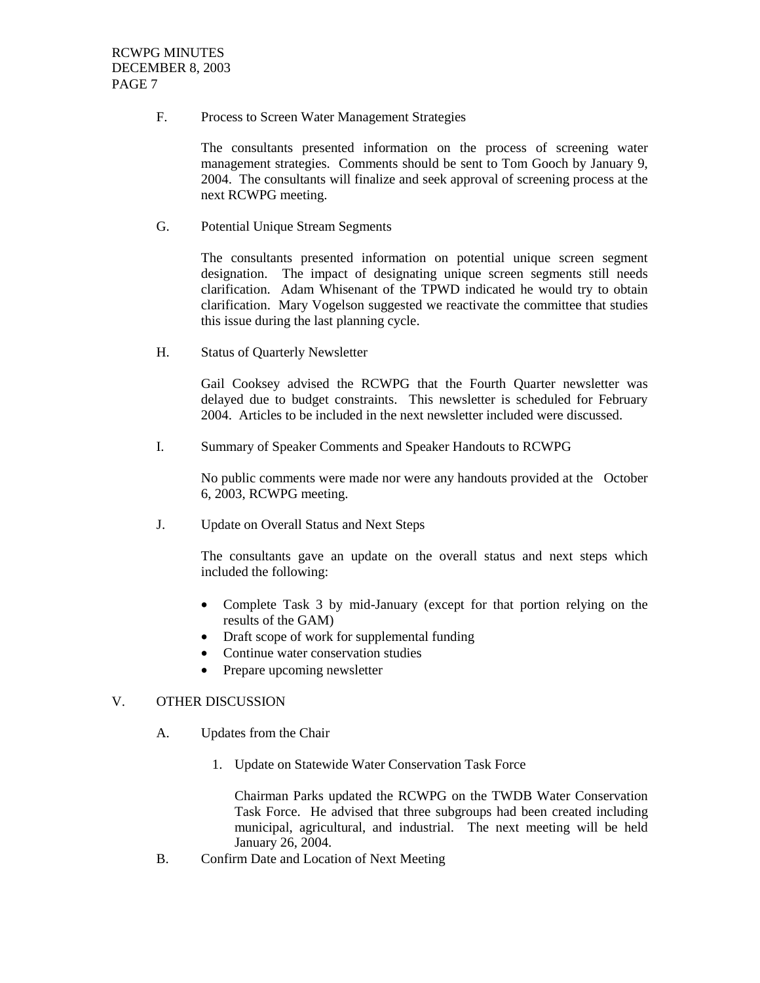F. Process to Screen Water Management Strategies

The consultants presented information on the process of screening water management strategies. Comments should be sent to Tom Gooch by January 9, 2004. The consultants will finalize and seek approval of screening process at the next RCWPG meeting.

G. Potential Unique Stream Segments

The consultants presented information on potential unique screen segment designation. The impact of designating unique screen segments still needs clarification. Adam Whisenant of the TPWD indicated he would try to obtain clarification. Mary Vogelson suggested we reactivate the committee that studies this issue during the last planning cycle.

H. Status of Quarterly Newsletter

Gail Cooksey advised the RCWPG that the Fourth Quarter newsletter was delayed due to budget constraints. This newsletter is scheduled for February 2004. Articles to be included in the next newsletter included were discussed.

I. Summary of Speaker Comments and Speaker Handouts to RCWPG

No public comments were made nor were any handouts provided at the October 6, 2003, RCWPG meeting.

J. Update on Overall Status and Next Steps

The consultants gave an update on the overall status and next steps which included the following:

- Complete Task 3 by mid-January (except for that portion relying on the results of the GAM)
- Draft scope of work for supplemental funding
- Continue water conservation studies
- Prepare upcoming newsletter

#### V. OTHER DISCUSSION

- A. Updates from the Chair
	- 1. Update on Statewide Water Conservation Task Force

Chairman Parks updated the RCWPG on the TWDB Water Conservation Task Force. He advised that three subgroups had been created including municipal, agricultural, and industrial. The next meeting will be held January 26, 2004.

B. Confirm Date and Location of Next Meeting